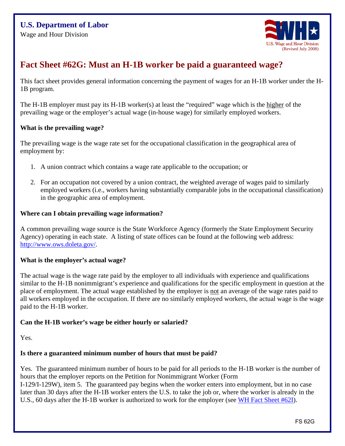

# **Fact Sheet #62G: Must an H-1B worker be paid a guaranteed wage?**

This fact sheet provides general information concerning the payment of wages for an H-1B worker under the H-1B program.

The H-1B employer must pay its H-1B worker(s) at least the "required" wage which is the higher of the prevailing wage or the employer's actual wage (in-house wage) for similarly employed workers.

## **What is the prevailing wage?**

The prevailing wage is the wage rate set for the occupational classification in the geographical area of employment by:

- 1. A union contract which contains a wage rate applicable to the occupation; or
- 2. For an occupation not covered by a union contract, the weighted average of wages paid to similarly employed workers (i.e., workers having substantially comparable jobs in the occupational classification) in the geographic area of employment.

## **Where can I obtain prevailing wage information?**

A common prevailing wage source is the State Workforce Agency (formerly the State Employment Security Agency) operating in each state. A listing of state offices can be found at the following web address: [http://www.ows.doleta.gov/.](http://www.ows.doleta.gov/)

## **What is the employer's actual wage?**

The actual wage is the wage rate paid by the employer to all individuals with experience and qualifications similar to the H-1B nonimmigrant's experience and qualifications for the specific employment in question at the place of employment. The actual wage established by the employer is not an average of the wage rates paid to all workers employed in the occupation. If there are no similarly employed workers, the actual wage is the wage paid to the H-1B worker.

## **Can the H-1B worker's wage be either hourly or salaried?**

Yes.

## **Is there a guaranteed minimum number of hours that must be paid?**

Yes. The guaranteed minimum number of hours to be paid for all periods to the H-1B worker is the number of hours that the employer reports on the Petition for Nonimmigrant Worker (Form

I-129/I-129W), item 5. The guaranteed pay begins when the worker enters into employment, but in no case later than 30 days after the H-1B worker enters the U.S. to take the job or, where the worker is already in the U.S., 60 days after the H-1B worker is authorized to work for the employer (see [WH Fact Sheet #62I\)](http://www.dol.gov/whd/regs/compliance/FactSheet62/whdfs62I.pdf).